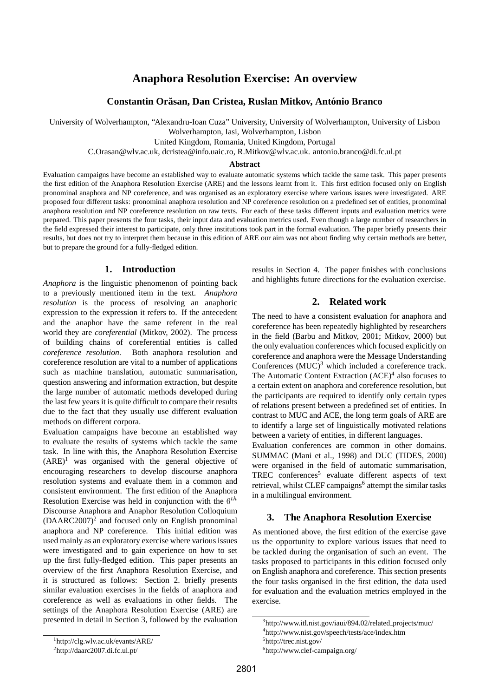# **Anaphora Resolution Exercise: An overview**

# **Constantin Orasan, Dan Cristea, Ruslan Mitkov, Ant ˘ onio Branco ´**

University of Wolverhampton, "Alexandru-Ioan Cuza" University, University of Wolverhampton, University of Lisbon

Wolverhampton, Iasi, Wolverhampton, Lisbon

United Kingdom, Romania, United Kingdom, Portugal

C.Orasan@wlv.ac.uk, dcristea@info.uaic.ro, R.Mitkov@wlv.ac.uk. antonio.branco@di.fc.ul.pt

#### **Abstract**

Evaluation campaigns have become an established way to evaluate automatic systems which tackle the same task. This paper presents the first edition of the Anaphora Resolution Exercise (ARE) and the lessons learnt from it. This first edition focused only on English pronominal anaphora and NP coreference, and was organised as an exploratory exercise where various issues were investigated. ARE proposed four different tasks: pronominal anaphora resolution and NP coreference resolution on a predefined set of entities, pronominal anaphora resolution and NP coreference resolution on raw texts. For each of these tasks different inputs and evaluation metrics were prepared. This paper presents the four tasks, their input data and evaluation metrics used. Even though a large number of researchers in the field expressed their interest to participate, only three institutions took part in the formal evaluation. The paper briefly presents their results, but does not try to interpret them because in this edition of ARE our aim was not about finding why certain methods are better, but to prepare the ground for a fully-fledged edition.

## **1. Introduction**

*Anaphora* is the linguistic phenomenon of pointing back to a previously mentioned item in the text. *Anaphora resolution* is the process of resolving an anaphoric expression to the expression it refers to. If the antecedent and the anaphor have the same referent in the real world they are *coreferential* (Mitkov, 2002). The process of building chains of coreferential entities is called *coreference resolution*. Both anaphora resolution and coreference resolution are vital to a number of applications such as machine translation, automatic summarisation, question answering and information extraction, but despite the large number of automatic methods developed during the last few years it is quite difficult to compare their results due to the fact that they usually use different evaluation methods on different corpora.

Evaluation campaigns have become an established way to evaluate the results of systems which tackle the same task. In line with this, the Anaphora Resolution Exercise  $(ARE)^1$  was organised with the general objective of encouraging researchers to develop discourse anaphora resolution systems and evaluate them in a common and consistent environment. The first edition of the Anaphora Resolution Exercise was held in conjunction with the  $6<sup>th</sup>$ Discourse Anaphora and Anaphor Resolution Colloquium  $(DAARC2007)<sup>2</sup>$  and focused only on English pronominal anaphora and NP coreference. This initial edition was used mainly as an exploratory exercise where various issues were investigated and to gain experience on how to set up the first fully-fledged edition. This paper presents an overview of the first Anaphora Resolution Exercise, and it is structured as follows: Section 2. briefly presents similar evaluation exercises in the fields of anaphora and coreference as well as evaluations in other fields. The settings of the Anaphora Resolution Exercise (ARE) are presented in detail in Section 3, followed by the evaluation

results in Section 4. The paper finishes with conclusions and highlights future directions for the evaluation exercise.

## **2. Related work**

The need to have a consistent evaluation for anaphora and coreference has been repeatedly highlighted by researchers in the field (Barbu and Mitkov, 2001; Mitkov, 2000) but the only evaluation conferences which focused explicitly on coreference and anaphora were the Message Understanding Conferences  $(MUC)^3$  which included a coreference track. The Automatic Content Extraction  $(ACE)^4$  also focuses to a certain extent on anaphora and coreference resolution, but the participants are required to identify only certain types of relations present between a predefined set of entities. In contrast to MUC and ACE, the long term goals of ARE are to identify a large set of linguistically motivated relations between a variety of entities, in different languages.

Evaluation conferences are common in other domains. SUMMAC (Mani et al., 1998) and DUC (TIDES, 2000) were organised in the field of automatic summarisation, TREC conferences<sup>5</sup> evaluate different aspects of text retrieval, whilst CLEF campaigns<sup>6</sup> attempt the similar tasks in a multilingual environment.

# **3. The Anaphora Resolution Exercise**

As mentioned above, the first edition of the exercise gave us the opportunity to explore various issues that need to be tackled during the organisation of such an event. The tasks proposed to participants in this edition focused only on English anaphora and coreference. This section presents the four tasks organised in the first edition, the data used for evaluation and the evaluation metrics employed in the exercise.

<sup>&</sup>lt;sup>3</sup>http://www.itl.nist.gov/iaui/894.02/related\_projects/muc/

<sup>4</sup> http://www.nist.gov/speech/tests/ace/index.htm

<sup>5</sup> http://trec.nist.gov/

<sup>6</sup> http://www.clef-campaign.org/

<sup>2</sup> http://daarc2007.di.fc.ul.pt/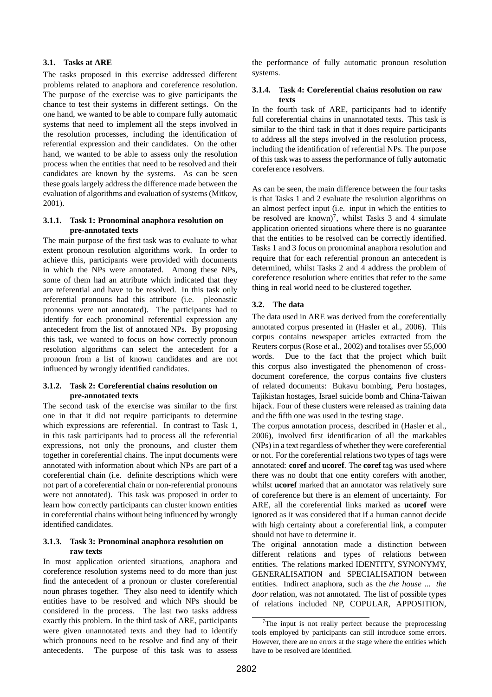## **3.1. Tasks at ARE**

The tasks proposed in this exercise addressed different problems related to anaphora and coreference resolution. The purpose of the exercise was to give participants the chance to test their systems in different settings. On the one hand, we wanted to be able to compare fully automatic systems that need to implement all the steps involved in the resolution processes, including the identification of referential expression and their candidates. On the other hand, we wanted to be able to assess only the resolution process when the entities that need to be resolved and their candidates are known by the systems. As can be seen these goals largely address the difference made between the evaluation of algorithms and evaluation of systems (Mitkov, 2001).

## **3.1.1. Task 1: Pronominal anaphora resolution on pre-annotated texts**

The main purpose of the first task was to evaluate to what extent pronoun resolution algorithms work. In order to achieve this, participants were provided with documents in which the NPs were annotated. Among these NPs, some of them had an attribute which indicated that they are referential and have to be resolved. In this task only referential pronouns had this attribute (i.e. pleonastic pronouns were not annotated). The participants had to identify for each pronominal referential expression any antecedent from the list of annotated NPs. By proposing this task, we wanted to focus on how correctly pronoun resolution algorithms can select the antecedent for a pronoun from a list of known candidates and are not influenced by wrongly identified candidates.

## **3.1.2. Task 2: Coreferential chains resolution on pre-annotated texts**

The second task of the exercise was similar to the first one in that it did not require participants to determine which expressions are referential. In contrast to Task 1, in this task participants had to process all the referential expressions, not only the pronouns, and cluster them together in coreferential chains. The input documents were annotated with information about which NPs are part of a coreferential chain (i.e. definite descriptions which were not part of a coreferential chain or non-referential pronouns were not annotated). This task was proposed in order to learn how correctly participants can cluster known entities in coreferential chains without being influenced by wrongly identified candidates.

# **3.1.3. Task 3: Pronominal anaphora resolution on raw texts**

In most application oriented situations, anaphora and coreference resolution systems need to do more than just find the antecedent of a pronoun or cluster coreferential noun phrases together. They also need to identify which entities have to be resolved and which NPs should be considered in the process. The last two tasks address exactly this problem. In the third task of ARE, participants were given unannotated texts and they had to identify which pronouns need to be resolve and find any of their antecedents. The purpose of this task was to assess

the performance of fully automatic pronoun resolution systems.

## **3.1.4. Task 4: Coreferential chains resolution on raw texts**

In the fourth task of ARE, participants had to identify full coreferential chains in unannotated texts. This task is similar to the third task in that it does require participants to address all the steps involved in the resolution process, including the identification of referential NPs. The purpose of this task was to assess the performance of fully automatic coreference resolvers.

As can be seen, the main difference between the four tasks is that Tasks 1 and 2 evaluate the resolution algorithms on an almost perfect input (i.e. input in which the entities to be resolved are known)<sup>7</sup>, whilst Tasks 3 and 4 simulate application oriented situations where there is no guarantee that the entities to be resolved can be correctly identified. Tasks 1 and 3 focus on pronominal anaphora resolution and require that for each referential pronoun an antecedent is determined, whilst Tasks 2 and 4 address the problem of coreference resolution where entities that refer to the same thing in real world need to be clustered together.

# **3.2. The data**

The data used in ARE was derived from the coreferentially annotated corpus presented in (Hasler et al., 2006). This corpus contains newspaper articles extracted from the Reuters corpus (Rose et al., 2002) and totalises over 55,000 words. Due to the fact that the project which built this corpus also investigated the phenomenon of crossdocument coreference, the corpus contains five clusters of related documents: Bukavu bombing, Peru hostages, Tajikistan hostages, Israel suicide bomb and China-Taiwan hijack. Four of these clusters were released as training data and the fifth one was used in the testing stage.

The corpus annotation process, described in (Hasler et al., 2006), involved first identification of all the markables (NPs) in a text regardless of whether they were coreferential or not. For the coreferential relations two types of tags were annotated: **coref** and **ucoref**. The **coref** tag was used where there was no doubt that one entity corefers with another, whilst **ucoref** marked that an annotator was relatively sure of coreference but there is an element of uncertainty. For ARE, all the coreferential links marked as **ucoref** were ignored as it was considered that if a human cannot decide with high certainty about a coreferential link, a computer should not have to determine it.

The original annotation made a distinction between different relations and types of relations between entities. The relations marked IDENTITY, SYNONYMY, GENERALISATION and SPECIALISATION between entities. Indirect anaphora, such as the *the house* ... *the door* relation, was not annotated. The list of possible types of relations included NP, COPULAR, APPOSITION,

 $7$ The input is not really perfect because the preprocessing tools employed by participants can still introduce some errors. However, there are no errors at the stage where the entities which have to be resolved are identified.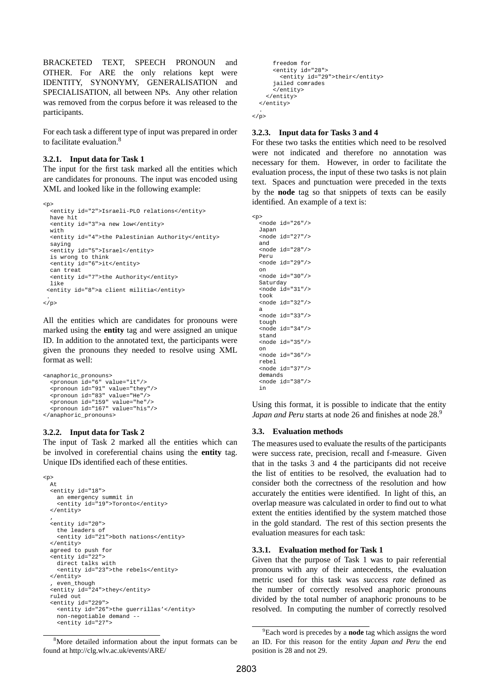BRACKETED TEXT, SPEECH PRONOUN and OTHER. For ARE the only relations kept were IDENTITY, SYNONYMY, GENERALISATION and SPECIALISATION, all between NPs. Any other relation was removed from the corpus before it was released to the participants.

For each task a different type of input was prepared in order to facilitate evaluation.<sup>8</sup>

#### **3.2.1. Input data for Task 1**

The input for the first task marked all the entities which are candidates for pronouns. The input was encoded using XML and looked like in the following example:

```
<p>
  <entity id="2">Israeli-PLO relations</entity>
 have hit
  <entity id="3">a new low</entity>
 with
  <entity id="4">the Palestinian Authority</entity>
  saying
  <entity id="5">Israel</entity>
  is wrong to think
  <entity id="6">it</entity>
 can treat
  <entity id="7">the Authority</entity>
 like
 <entity id="8">a client militia</entity>
 .
\langle/p>
```
All the entities which are candidates for pronouns were marked using the **entity** tag and were assigned an unique ID. In addition to the annotated text, the participants were given the pronouns they needed to resolve using XML format as well:

```
<anaphoric_pronouns>
    <pronoun id="6" value="it"/>
<pronoun id="91" value="they"/>
<pronoun id="83" value="He"/>
    <pronoun id="159" value="he"/>
<pronoun id="167" value="his"/>
</anaphoric_pronouns>
```
#### **3.2.2. Input data for Task 2**

The input of Task 2 marked all the entities which can be involved in coreferential chains using the **entity** tag. Unique IDs identified each of these entities.

```
<p>
  At
  <entity id="18">
    an emergency summit in
    <entity id="19">Toronto</entity>
  </entity>
  ,
<entity id="20">
    the leaders of
    <entity id="21">both nations</entity>
  </entity>
  agreed to push for
  <entity id="22">
     direct talks with
<entity id="23">the rebels</entity>
  </entity>
  , even_though
  <entity id="24">they</entity>
  ruled out
  <entity id="229">
    <entity id="26">the guerrillas'</entity>
    non-negotiable demand --
    \overline{5} \overline{5} \overline{10} \overline{10} \overline{27} \overline{27}
```

```
<sup>8</sup>More detailed information about the input formats can be
found at http://clg.wlv.ac.uk/events/ARE/
```

```
freedom for
      <entity id="28">
        <entity id="29">their</entity>
      jailed comrades
      </entity>
   </entity>
 </entity>
.<br></p>
```
# **3.2.3. Input data for Tasks 3 and 4**

For these two tasks the entities which need to be resolved were not indicated and therefore no annotation was necessary for them. However, in order to facilitate the evaluation process, the input of these two tasks is not plain text. Spaces and punctuation were preceded in the texts by the **node** tag so that snippets of texts can be easily identified. An example of a text is:

```
<p>
  <node id="26"/>
 Japan
  <node id="27"/>
 and
  <node id="28"/>
 Peru
  <node id="29"/>
 on
  <node id="30"/>
 Saturday
  <node id="31"/>
 took
  <node id="32"/>
 a
  <node id="33"/>
  tough
  <node id="34"/>
  stand
  <node id="35"/>
 on
  <node id="36"/>
  rebel
  <node id="37"/>
 demands
  <node id="38"/>
 in
```
Using this format, it is possible to indicate that the entity *Japan and Peru* starts at node 26 and finishes at node 28.<sup>9</sup>

# **3.3. Evaluation methods**

The measures used to evaluate the results of the participants were success rate, precision, recall and f-measure. Given that in the tasks 3 and 4 the participants did not receive the list of entities to be resolved, the evaluation had to consider both the correctness of the resolution and how accurately the entities were identified. In light of this, an overlap measure was calculated in order to find out to what extent the entities identified by the system matched those in the gold standard. The rest of this section presents the evaluation measures for each task:

# **3.3.1. Evaluation method for Task 1**

Given that the purpose of Task 1 was to pair referential pronouns with any of their antecedents, the evaluation metric used for this task was *success rate* defined as the number of correctly resolved anaphoric pronouns divided by the total number of anaphoric pronouns to be resolved. In computing the number of correctly resolved

<sup>9</sup>Each word is precedes by a **node** tag which assigns the word an ID. For this reason for the entity *Japan and Peru* the end position is 28 and not 29.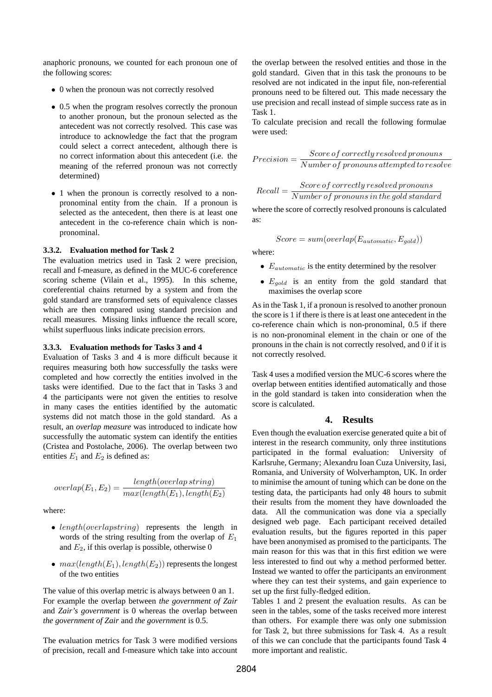anaphoric pronouns, we counted for each pronoun one of the following scores:

- 0 when the pronoun was not correctly resolved
- 0.5 when the program resolves correctly the pronoun to another pronoun, but the pronoun selected as the antecedent was not correctly resolved. This case was introduce to acknowledge the fact that the program could select a correct antecedent, although there is no correct information about this antecedent (i.e. the meaning of the referred pronoun was not correctly determined)
- 1 when the pronoun is correctly resolved to a nonpronominal entity from the chain. If a pronoun is selected as the antecedent, then there is at least one antecedent in the co-reference chain which is nonpronominal.

#### **3.3.2. Evaluation method for Task 2**

The evaluation metrics used in Task 2 were precision, recall and f-measure, as defined in the MUC-6 coreference scoring scheme (Vilain et al., 1995). In this scheme, coreferential chains returned by a system and from the gold standard are transformed sets of equivalence classes which are then compared using standard precision and recall measures. Missing links influence the recall score, whilst superfluous links indicate precision errors.

#### **3.3.3. Evaluation methods for Tasks 3 and 4**

Evaluation of Tasks 3 and 4 is more difficult because it requires measuring both how successfully the tasks were completed and how correctly the entities involved in the tasks were identified. Due to the fact that in Tasks 3 and 4 the participants were not given the entities to resolve in many cases the entities identified by the automatic systems did not match those in the gold standard. As a result, an *overlap measure* was introduced to indicate how successfully the automatic system can identify the entities (Cristea and Postolache, 2006). The overlap between two entities  $E_1$  and  $E_2$  is defined as:

$$
overlap(E_1, E_2) = \frac{length(overlap \, string)}{max(length(E_1), length(E_2))}
$$

where:

- length(overlapstring) represents the length in words of the string resulting from the overlap of  $E_1$ and  $E_2$ , if this overlap is possible, otherwise 0
- $max(length(E_1), length(E_2))$  represents the longest of the two entities

The value of this overlap metric is always between 0 an 1. For example the overlap between *the government of Zair* and *Zair's government* is 0 whereas the overlap between *the government of Zair* and *the government* is 0.5.

The evaluation metrics for Task 3 were modified versions of precision, recall and f-measure which take into account

the overlap between the resolved entities and those in the gold standard. Given that in this task the pronouns to be resolved are not indicated in the input file, non-referential pronouns need to be filtered out. This made necessary the use precision and recall instead of simple success rate as in Task 1.

To calculate precision and recall the following formulae were used:

$$
Precision = \frac{Score\,of\,correctly\,resolved\,pronouns}{Number\,of\,pronouns\,attempted\,to\,resolve}
$$

$$
Recall = \frac{Score\,of\,correctly\,resolved\,pronouns}{Number\,of\,pronouns\,in\,the\,gold\,standard}
$$

where the score of correctly resolved pronouns is calculated as:

$$
Score = sum(overlap(E_{automatic}, E_{gold}))
$$

where:

- $\bullet$   $E_{automatic}$  is the entity determined by the resolver
- $E_{gold}$  is an entity from the gold standard that maximises the overlap score

As in the Task 1, if a pronoun is resolved to another pronoun the score is 1 if there is there is at least one antecedent in the co-reference chain which is non-pronominal, 0.5 if there is no non-pronominal element in the chain or one of the pronouns in the chain is not correctly resolved, and 0 if it is not correctly resolved.

Task 4 uses a modified version the MUC-6 scores where the overlap between entities identified automatically and those in the gold standard is taken into consideration when the score is calculated.

## **4. Results**

Even though the evaluation exercise generated quite a bit of interest in the research community, only three institutions participated in the formal evaluation: University of Karlsruhe, Germany; Alexandru Ioan Cuza University, Iasi, Romania, and University of Wolverhampton, UK. In order to minimise the amount of tuning which can be done on the testing data, the participants had only 48 hours to submit their results from the moment they have downloaded the data. All the communication was done via a specially designed web page. Each participant received detailed evaluation results, but the figures reported in this paper have been anonymised as promised to the participants. The main reason for this was that in this first edition we were less interested to find out why a method performed better. Instead we wanted to offer the participants an environment where they can test their systems, and gain experience to set up the first fully-fledged edition.

Tables 1 and 2 present the evaluation results. As can be seen in the tables, some of the tasks received more interest than others. For example there was only one submission for Task 2, but three submissions for Task 4. As a result of this we can conclude that the participants found Task 4 more important and realistic.